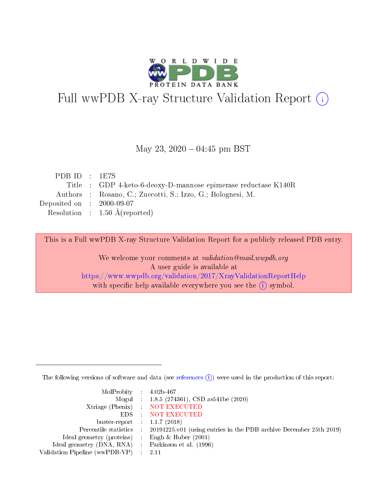

# Full wwPDB X-ray Structure Validation Report (i)

#### May 23,  $2020 - 04:45$  pm BST

| PDB ID : $1E7S$             |                                                                |
|-----------------------------|----------------------------------------------------------------|
|                             | Title : GDP 4-keto-6-deoxy-D-mannose epimerase reductase K140R |
|                             | Authors : Rosano, C.; Zuccotti, S.; Izzo, G.; Bolognesi, M.    |
| Deposited on : $2000-09-07$ |                                                                |
|                             | Resolution : $1.50 \text{ Å}$ (reported)                       |
|                             |                                                                |

This is a Full wwPDB X-ray Structure Validation Report for a publicly released PDB entry.

We welcome your comments at validation@mail.wwpdb.org A user guide is available at <https://www.wwpdb.org/validation/2017/XrayValidationReportHelp> with specific help available everywhere you see the  $(i)$  symbol.

The following versions of software and data (see [references](https://www.wwpdb.org/validation/2017/XrayValidationReportHelp#references)  $(i)$ ) were used in the production of this report:

| MolProbity : $4.02b-467$                            |                                                                                            |
|-----------------------------------------------------|--------------------------------------------------------------------------------------------|
|                                                     | Mogul : 1.8.5 (274361), CSD as541be (2020)                                                 |
|                                                     | Xtriage (Phenix) NOT EXECUTED                                                              |
|                                                     | EDS : NOT EXECUTED                                                                         |
| buster-report : $1.1.7(2018)$                       |                                                                                            |
|                                                     | Percentile statistics : 20191225.v01 (using entries in the PDB archive December 25th 2019) |
| Ideal geometry (proteins) :                         | Engh & Huber $(2001)$                                                                      |
| Ideal geometry (DNA, RNA) : Parkinson et al. (1996) |                                                                                            |
| Validation Pipeline (wwPDB-VP) :                    | - 2.11                                                                                     |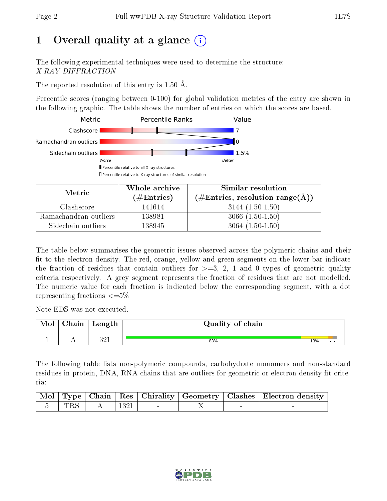# 1 [O](https://www.wwpdb.org/validation/2017/XrayValidationReportHelp#overall_quality)verall quality at a glance  $(i)$

The following experimental techniques were used to determine the structure: X-RAY DIFFRACTION

The reported resolution of this entry is 1.50 Å.

Percentile scores (ranging between 0-100) for global validation metrics of the entry are shown in the following graphic. The table shows the number of entries on which the scores are based.



| Metric                | Whole archive       | Similar resolution                                       |
|-----------------------|---------------------|----------------------------------------------------------|
|                       | (# $\rm{Entries}$ ) | $(\#\text{Entries}, \text{resolution range}(\text{\AA})$ |
| Clashscore            | 141614              | $3144(1.50-1.50)$                                        |
| Ramachandran outliers | 138981              | $3066(1.50-1.50)$                                        |
| Sidechain outliers    | 138945              | $3064(1.50-1.50)$                                        |

The table below summarises the geometric issues observed across the polymeric chains and their fit to the electron density. The red, orange, yellow and green segments on the lower bar indicate the fraction of residues that contain outliers for  $\geq=3$ , 2, 1 and 0 types of geometric quality criteria respectively. A grey segment represents the fraction of residues that are not modelled. The numeric value for each fraction is indicated below the corresponding segment, with a dot representing fractions  $\leq=5\%$ 

Note EDS was not executed.

| <b>NIOI</b> | hain | Length     | Quality of chain |     |     |
|-------------|------|------------|------------------|-----|-----|
|             |      |            |                  |     |     |
|             | . .  | າດ1<br>ບ∠⊥ | 83%              | 13% | . . |

The following table lists non-polymeric compounds, carbohydrate monomers and non-standard residues in protein, DNA, RNA chains that are outliers for geometric or electron-density-fit criteria:

|  |  |  | Mol   Type   Chain   Res   Chirality   Geometry   Clashes   Electron density |
|--|--|--|------------------------------------------------------------------------------|
|  |  |  |                                                                              |

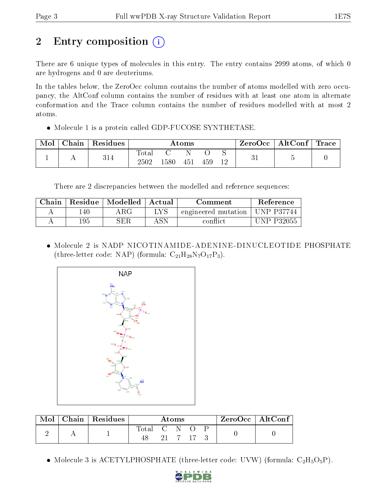# 2 Entry composition  $\left( \cdot \right)$

There are 6 unique types of molecules in this entry. The entry contains 2999 atoms, of which 0 are hydrogens and 0 are deuteriums.

In the tables below, the ZeroOcc column contains the number of atoms modelled with zero occupancy, the AltConf column contains the number of residues with at least one atom in alternate conformation and the Trace column contains the number of residues modelled with at most 2 atoms.

• Molecule 1 is a protein called GDP-FUCOSE SYNTHETASE.

| Mol | Chain | Residues |                   |      | Atoms |     |    | $ZeroOcc \   \ AltConf \  $ | Trace |
|-----|-------|----------|-------------------|------|-------|-----|----|-----------------------------|-------|
|     |       | 314      | Total<br>$2502\,$ | .580 | 451   | 459 | 12 |                             |       |

There are 2 discrepancies between the modelled and reference sequences:

| Chain |     | Residue   Modelled | - Actual - | Comment             | Reference         |
|-------|-----|--------------------|------------|---------------------|-------------------|
|       | 40  | $\rm{ARG}$         | LYS        | engineered mutation | <b>UNP P37744</b> |
|       | 195 | SER                | ASN        | conflict            | <b>UNP P32055</b> |

• Molecule 2 is NADP NICOTINAMIDE-ADENINE-DINUCLEOTIDE PHOSPHATE (three-letter code: NAP) (formula:  $C_{21}H_{28}N_7O_{17}P_3$ ).



| Mol | Chain   Residues | Atoms       |  |  | $ZeroOcc \mid AltConf \mid$ |  |  |  |
|-----|------------------|-------------|--|--|-----------------------------|--|--|--|
|     |                  | Total C N O |  |  |                             |  |  |  |
|     |                  |             |  |  | 21 7 17 3                   |  |  |  |

• Molecule 3 is ACETYLPHOSPHATE (three-letter code: UVW) (formula:  $C_2H_5O_5P$ ).

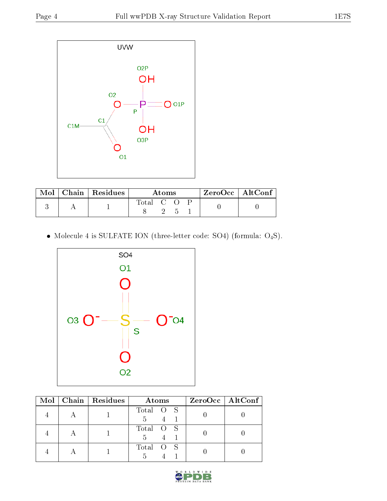

|  | $\text{Mol}$   Chain   Residues | Atoms     |  |  |  | ZeroOcc   AltConf |
|--|---------------------------------|-----------|--|--|--|-------------------|
|  |                                 | Total C O |  |  |  |                   |

 $\bullet$  Molecule 4 is SULFATE ION (three-letter code: SO4) (formula:  $\mathrm{O}_4\mathrm{S}) .$ 



|  |  | Mol   Chain   Residues | Atoms         | $ZeroOcc$   AltConf |
|--|--|------------------------|---------------|---------------------|
|  |  |                        | Total O S     |                     |
|  |  | 5                      |               |                     |
|  |  |                        | Total O S     |                     |
|  |  |                        | $\frac{5}{2}$ |                     |
|  |  |                        | Total O S     |                     |
|  |  |                        |               |                     |

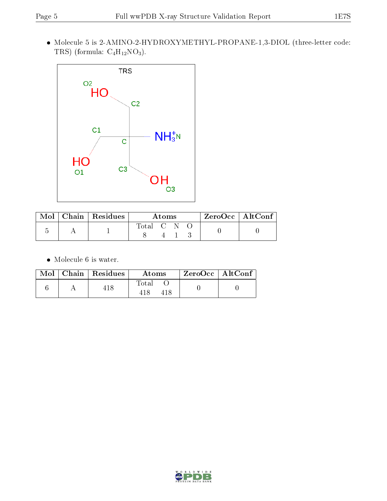Molecule 5 is 2-AMINO-2-HYDROXYMETHYL-PROPANE-1,3-DIOL (three-letter code: TRS) (formula:  $C_4H_{12}NO_3$ ).



|  | $\text{Mol}$   Chain   Residues | A toms    |  |  |  | $\rm ZeroOcc \mid AltConf \mid$ |
|--|---------------------------------|-----------|--|--|--|---------------------------------|
|  |                                 | Total C N |  |  |  |                                 |
|  |                                 |           |  |  |  |                                 |

 $\bullet\,$  Molecule 6 is water.

|  | $\text{Mol}$   Chain   Residues | Atoms | $'$ ZeroOcc   AltConf |  |
|--|---------------------------------|-------|-----------------------|--|
|  |                                 | Total |                       |  |

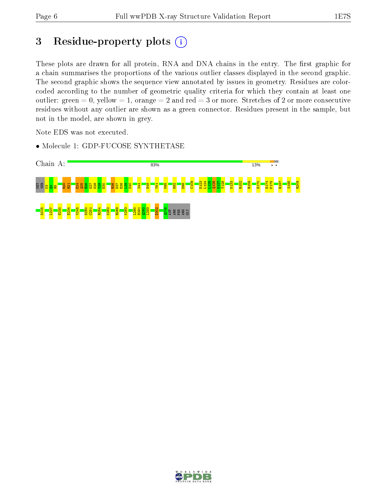## 3 Residue-property plots (i)

These plots are drawn for all protein, RNA and DNA chains in the entry. The first graphic for a chain summarises the proportions of the various outlier classes displayed in the second graphic. The second graphic shows the sequence view annotated by issues in geometry. Residues are colorcoded according to the number of geometric quality criteria for which they contain at least one outlier: green  $= 0$ , yellow  $= 1$ , orange  $= 2$  and red  $= 3$  or more. Stretches of 2 or more consecutive residues without any outlier are shown as a green connector. Residues present in the sample, but not in the model, are shown in grey.

Note EDS was not executed.

• Molecule 1: GDP-FUCOSE SYNTHETASE



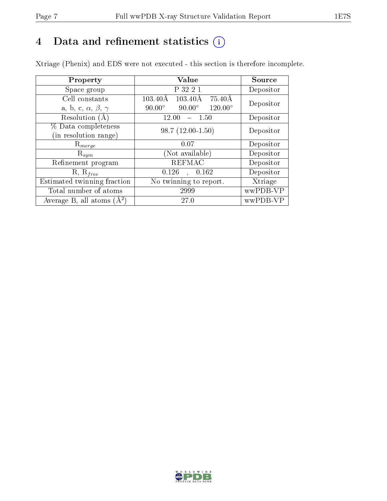# 4 Data and refinement statistics  $(i)$

Xtriage (Phenix) and EDS were not executed - this section is therefore incomplete.

| Property                               | Value                                                         | Source    |
|----------------------------------------|---------------------------------------------------------------|-----------|
| Space group                            | P 32 2 1                                                      | Depositor |
| Cell constants                         | $103.40\text{\AA}$<br>$75.40\text{\AA}$<br>$103.40\text{\AA}$ | Depositor |
| a, b, c, $\alpha$ , $\beta$ , $\gamma$ | $90.00^\circ$<br>$120.00^{\circ}$<br>$90.00^\circ$            |           |
| Resolution (A)                         | 12.00<br>1.50                                                 | Depositor |
| % Data completeness                    | $98.7(12.00-1.50)$                                            | Depositor |
| (in resolution range)                  |                                                               |           |
| $R_{merge}$                            | 0.07                                                          | Depositor |
| $\mathrm{R}_{sym}$                     | (Not available)                                               | Depositor |
| Refinement program                     | <b>REFMAC</b>                                                 | Depositor |
| $R, R_{free}$                          | 0.126<br>, 0.162                                              | Depositor |
| Estimated twinning fraction            | No twinning to report.                                        | Xtriage   |
| Total number of atoms                  | 2999                                                          | wwPDB-VP  |
| Average B, all atoms $(A^2)$           | 27.0                                                          | wwPDB-VP  |

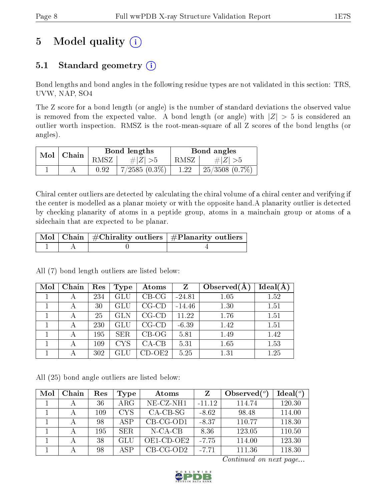# 5 Model quality  $(i)$

## 5.1 Standard geometry  $(i)$

Bond lengths and bond angles in the following residue types are not validated in this section: TRS, UVW, NAP, SO4

The Z score for a bond length (or angle) is the number of standard deviations the observed value is removed from the expected value. A bond length (or angle) with  $|Z| > 5$  is considered an outlier worth inspection. RMSZ is the root-mean-square of all Z scores of the bond lengths (or angles).

| $Mol$   Chain |  |      | Bond lengths     | Bond angles |                     |  |
|---------------|--|------|------------------|-------------|---------------------|--|
|               |  | RMSZ | $\# Z  > 5$      | RMSZ        | $\# Z  > 5$         |  |
|               |  | 0.92 | $+7/2585(0.3\%)$ | 1.22        | $25/3508$ $(0.7\%)$ |  |

Chiral center outliers are detected by calculating the chiral volume of a chiral center and verifying if the center is modelled as a planar moiety or with the opposite hand.A planarity outlier is detected by checking planarity of atoms in a peptide group, atoms in a mainchain group or atoms of a sidechain that are expected to be planar.

|  | $\mid$ Mol $\mid$ Chain $\mid$ #Chirality outliers $\mid$ #Planarity outliers $\mid$ |
|--|--------------------------------------------------------------------------------------|
|  |                                                                                      |

All (7) bond length outliers are listed below:

| Mol | Chain | Res | Type       | Atoms       | Z        | Observed $(A$ | Ideal(A) |
|-----|-------|-----|------------|-------------|----------|---------------|----------|
|     |       | 234 | GLU        | $CB-CG$     | $-24.81$ | 1.05          | 1.52     |
|     | А     | 30  | GLU        | $CG$ - $CD$ | $-14.46$ | 1.30          | 1.51     |
|     |       | 25  | <b>GLN</b> | $CG$ - $CD$ | 11.22    | 1.76          | 1.51     |
|     | А     | 230 | GLU        | $CG$ - $CD$ | $-6.39$  | 1.42          | 1.51     |
|     | А     | 195 | <b>SER</b> | $CB-OG$     | 5.81     | 1.49          | 1.42     |
|     |       | 109 | <b>CYS</b> | $CA-CB$     | 5.31     | 1.65          | 1.53     |
|     |       | 302 |            | CD-OE2-     | 5.25     | 1.31          | 1.25     |

All (25) bond angle outliers are listed below:

| Mol | Chain | $\operatorname{Res}% \left( \mathcal{N}\right) \equiv\operatorname{Res}(\mathcal{N}_{0})\cap\mathcal{N}_{1}$ | <b>Type</b> | Atoms        | Z        | Observed $(°)$ | Ideal $(°)$ |
|-----|-------|--------------------------------------------------------------------------------------------------------------|-------------|--------------|----------|----------------|-------------|
|     | А     | 36                                                                                                           | $\rm{ARG}$  | $NE$ -CZ-NH1 | $-11.12$ | 114.74         | 120.30      |
|     | А     | 109                                                                                                          | <b>CYS</b>  | $CA-CB-SG$   | $-8.62$  | 98.48          | 114.00      |
|     |       | 98                                                                                                           | <b>ASP</b>  | $CB-CG-OD1$  | $-8.37$  | 110.77         | 118.30      |
|     |       | 195                                                                                                          | SER.        | $N-CA-CB$    | 8.36     | 123.05         | 110.50      |
|     | А     | 38                                                                                                           | GLU         | OE1-CD-OE2   | $-7.75$  | 114.00         | 123.30      |
|     |       | 98                                                                                                           | ASP         | $CB-CG-OD2$  | $-7.71$  | 111.36         | 118.30      |

Continued on next page...

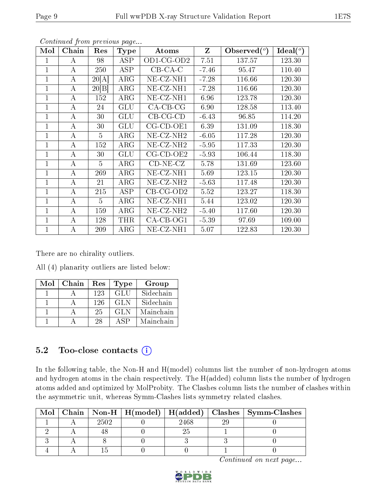| Mol          | Chain | $\operatorname{Res}% \left( \mathcal{N}\right) \equiv\operatorname{Res}(\mathcal{N}_{0})\cap\mathcal{N}_{1}$ | <b>Type</b> | Atoms                 | $\mathbf{Z}$ | Observed $(°)$ | Ideal $(^\circ)$ |
|--------------|-------|--------------------------------------------------------------------------------------------------------------|-------------|-----------------------|--------------|----------------|------------------|
| 1            | А     | 98                                                                                                           | <b>ASP</b>  | $OD1-CG-OD2$          | 7.51         | 137.57         | 123.30           |
| 1            | А     | 250                                                                                                          | <b>ASP</b>  | $CB-CA-C$             | $-7.46$      | 95.47          | 110.40           |
| $\mathbf 1$  | А     | 20[A]                                                                                                        | $\rm{ARG}$  | NE-CZ-NH1             | $-7.28$      | 116.66         | 120.30           |
| 1            | А     | 20 B                                                                                                         | $\rm{ARG}$  | NE-CZ-NH1             | $-7.28$      | 116.66         | 120.30           |
| 1            | А     | 152                                                                                                          | $\rm{ARG}$  | $NE-CL-NH1$           | 6.96         | 123.78         | 120.30           |
| 1            | А     | 24                                                                                                           | GLU         | $CA-CB-CG$            | 6.90         | 128.58         | 113.40           |
| 1            | A     | 30                                                                                                           | GLU         | $CB-CG-CD$            | $-6.43$      | 96.85          | 114.20           |
| $\mathbf{1}$ | А     | 30                                                                                                           | <b>GLU</b>  | $CG$ - $CD$ - $OE1$   | 6.39         | 131.09         | 118.30           |
| 1            | А     | $\overline{5}$                                                                                               | $\rm{ARG}$  | NE-CZ-NH <sub>2</sub> | $-6.05$      | 117.28         | 120.30           |
| $\mathbf{1}$ | А     | 152                                                                                                          | $\rm{ARG}$  | $NE- CZ-NH2$          | $-5.95$      | 117.33         | 120.30           |
| $\mathbf 1$  | А     | 30                                                                                                           | GLU         | $CG$ - $CD$ - $OE2$   | $-5.93$      | 106.44         | 118.30           |
| 1            | А     | 5                                                                                                            | $\rm{ARG}$  | $CD-NE- CZ$           | 5.78         | 131.69         | 123.60           |
| 1            | А     | 269                                                                                                          | $\rm{ARG}$  | $NE-CL-NH1$           | 5.69         | 123.15         | 120.30           |
| 1            | A     | 21                                                                                                           | $\rm{ARG}$  | NE-CZ-NH <sub>2</sub> | $-5.63$      | 117.48         | 120.30           |
| 1            | А     | 215                                                                                                          | <b>ASP</b>  | $CB$ -CG-OD2          | 5.52         | 123.27         | 118.30           |
| 1            | А     | 5                                                                                                            | $\rm{ARG}$  | $NE- CZ-NH1$          | 5.44         | 123.02         | 120.30           |
| 1            | A     | 159                                                                                                          | $\rm{ARG}$  | NE-CZ-NH <sub>2</sub> | $-5.40$      | 117.60         | 120.30           |
| $\mathbf{1}$ | А     | 128                                                                                                          | <b>THR</b>  | $CA-CB-OG1$           | $-5.39$      | 97.69          | 109.00           |
| 1            | А     | 209                                                                                                          | $\rm{ARG}$  | $NE- CZ-NH1$          | 5.07         | 122.83         | 120.30           |

Continued from previous page...

There are no chirality outliers.

All (4) planarity outliers are listed below:

| Mol | Chain | Res | <b>Type</b> | Group     |
|-----|-------|-----|-------------|-----------|
|     |       | 123 | <b>GLU</b>  | Sidechain |
|     |       | 126 | GL N        | Sidechain |
|     |       | 25  | GL N        | Mainchain |
|     |       | 28  | $\Delta$ SP | Mainchain |

### 5.2 Too-close contacts (i)

In the following table, the Non-H and H(model) columns list the number of non-hydrogen atoms and hydrogen atoms in the chain respectively. The H(added) column lists the number of hydrogen atoms added and optimized by MolProbity. The Clashes column lists the number of clashes within the asymmetric unit, whereas Symm-Clashes lists symmetry related clashes.

| Mol |      |      | Chain   Non-H   H(model)   H(added)   Clashes   Symm-Clashes |
|-----|------|------|--------------------------------------------------------------|
|     | 2502 | 2468 |                                                              |
|     |      |      |                                                              |
|     |      |      |                                                              |
|     |      |      |                                                              |

Continued on next page...

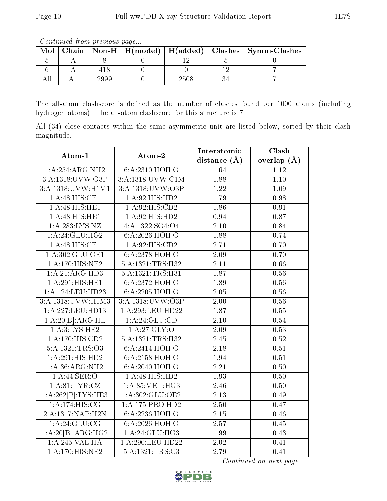Continued from previous page...

| Mol |      |      | Chain   Non-H   H(model)   H(added)   Clashes   Symm-Clashes |
|-----|------|------|--------------------------------------------------------------|
|     |      |      |                                                              |
|     |      |      |                                                              |
|     | 2999 | 2508 |                                                              |

The all-atom clashscore is defined as the number of clashes found per 1000 atoms (including hydrogen atoms). The all-atom clashscore for this structure is 7.

All (34) close contacts within the same asymmetric unit are listed below, sorted by their clash magnitude.

| Atom-1                      | Atom-2                             | Interatomic       | $\overline{\text{Clash}}$ |
|-----------------------------|------------------------------------|-------------------|---------------------------|
|                             |                                    | distance $(\AA)$  | overlap $(\AA)$           |
| 1: A:254:ARG:NH2            | 6:A:2310:HOH:O                     | 1.64              | 1.12                      |
| 3:A:1318:UVW:O3P            | 3:A:1318:UVW:C1M                   | 1.88              | $\overline{1.10}$         |
| 3:A:1318:UVW:H1M1           | 3:A:1318:UVW:O3P                   | $1.22\,$          | 1.09                      |
| 1:A:48:HIS:CE1              | 1:A:92:HIS:HD2                     | 1.79              | 0.98                      |
| 1:A:48:HIS:HE1              | 1:A:92:HIS:CD2                     | 1.86              | 0.91                      |
| 1:A:48:HIS:HE1              | 1:A:92:HIS:HD2                     | 0.94              | 0.87                      |
| 1: A:283:LYS:NZ             | $4: A: 1322: SO4: O4$              | $\overline{2.10}$ | 0.84                      |
| 1: A:24: GLU:HG2            | 6:A:2026:HOH:O                     | 1.88              | 0.74                      |
| 1: A:48: HIS: CE1           | 1: A:92: HIS: CD2                  | $\overline{2.71}$ | 0.70                      |
| 1:A:302:GLU:OE1             | 6: A: 2378: HOH:O                  | 2.09              | 0.70                      |
| 1:A:170:HIS:NE2             | 5:A:1321:TRS:H32                   | 2.11              | 0.66                      |
| 1:A:21:ARG:HD3              | 5:A:1321:TRS:H31                   | $\overline{1.87}$ | 0.56                      |
| 1:A:291:HIS:HE1             | 6:A:2372:HOH:O                     | 1.89              | 0.56                      |
| 1: A:124: LEU: HD23         | 6:A:2205:HOH:O                     | 2.05              | 0.56                      |
| 3:A:1318: UVW: H1M3         | 3:A:1318:UVW:O3P                   | 2.00              | 0.56                      |
| 1:A:227:LEU:HD13            | 1:A:293:LEU:HD22                   | 1.87              | 0.55                      |
| 1:A:20[B]:ARG:HE            | 1: A:24: GLU:CD                    | 2.10              | 0.54                      |
| 1: A:3: LYS: HE2            | 1:A:27:GLY:O                       | 2.09              | 0.53                      |
| 1:A:170:HIS:CD2             | 5:A:1321:TRS:H32                   | 2.45              | 0.52                      |
| 5:A:1321:TRS:O3             | 6: A:2414: HOH:O                   | 2.18              | 0.51                      |
| 1:A:291:HIS:HD2             | 6: A:2158: HOH:O                   | 1.94              | 0.51                      |
| 1: A:36: ARG: NH2           | 6: A:2040:HOH:O                    | 2.21              | 0.50                      |
| 1:A:44:SER:O                | 1:A:48:HIS:HD2                     | 1.93              | 0.50                      |
| 1: A:81:TYR:CZ              | 1: A:85:MET:HG3                    | 2.46              | 0.50                      |
| 1:A:262[B]:LYS:HE3          | 1:A:302:GLU:OE2                    | 2.13              | 0.49                      |
| 1: A:174:HIS:CG             | $1:A:175:P\overline{{\rm RO:HD2}}$ | 2.50              | 0.47                      |
| 2:A:1317:NAP:H2N            | 6:A:2236:HOH:O                     | $2.15\,$          | 0.46                      |
| 1: A:24: GLU:CG             | 6:A:2026:HOH:O                     | 2.57              | 0.45                      |
| 1:A:20[B]:ARG:HG2           | 1:A:24:GLU:HG3                     | 1.99              | 0.43                      |
| $1:A:245:\overline{VAL}:HA$ | 1:A:290:LEU:HD22                   | 2.02              | 0.41                      |
| $1:$ A:170:HIS:NE2          | 5:A:1321:TRS:C3                    | 2.79              | 0.41                      |

Continued on next page...

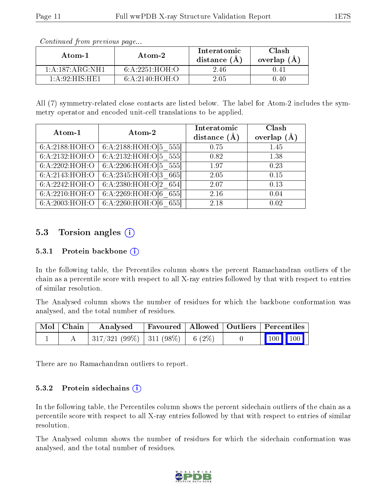| Atom-1                                   | Atom-2            | Interatomic<br>distance $(A)$ | Clash<br>overlap (A |
|------------------------------------------|-------------------|-------------------------------|---------------------|
| 1: A: 187: ARG: NH1                      | 6: A: 2251: HOH:O | 2.46                          |                     |
| $1 \cdot A \cdot 92 \cdot HIS \cdot HE1$ | 6: A:2140:HOH:O   | 2.05                          | ገ.4በ                |

Continued from previous page...

All (7) symmetry-related close contacts are listed below. The label for Atom-2 includes the symmetry operator and encoded unit-cell translations to be applied.

| Atom-1                                 | Atom-2                     | Interatomic<br>distance $(A)$ | Clash<br>overlap $(A)$ |
|----------------------------------------|----------------------------|-------------------------------|------------------------|
| 6: A:2188:HOH:O                        | 6:A:2188:HOH: $O[5\ 555]$  | 0.75                          | 1.45                   |
| 6:A:2132:HOH:O                         | 6:A:2132:HOH: $O[5\ 555]$  | 0.82                          | 1.38                   |
| 6:A:2202:HOH:O                         | 6:A:2206:HOH: $O[5 555]$   | 1.97                          | 0.23                   |
| 6:A:2143:HOH:O                         | 6:A:2345:HOH:O[3 665]      | 2.05                          | 0.15                   |
| 6:A:2242:H <sub>0</sub> H <sub>0</sub> | 6:A:2380:HOH:O[2 654]      | 2.07                          | 0.13                   |
| 6:A:2210:HOH:O                         | 6:A:2269:HOH: $O[6 \ 655]$ | 2.16                          | 0.04                   |
| 6:A:2003:HOH:O                         | 6:A:2260:HOH: $O[6 \ 655]$ | 2.18                          | 0.02                   |

### 5.3 Torsion angles (i)

#### 5.3.1 Protein backbone  $(i)$

In the following table, the Percentiles column shows the percent Ramachandran outliers of the chain as a percentile score with respect to all X-ray entries followed by that with respect to entries of similar resolution.

The Analysed column shows the number of residues for which the backbone conformation was analysed, and the total number of residues.

| $\mid$ Mol $\mid$ Chain $\mid$ | Analysed                               | Favoured   Allowed   Outliers   Percentiles |  |                         |  |
|--------------------------------|----------------------------------------|---------------------------------------------|--|-------------------------|--|
|                                | $317/321(99\%)$   311 (98\%)   6 (2\%) |                                             |  | $\vert$ 100 100 $\vert$ |  |

There are no Ramachandran outliers to report.

#### 5.3.2 Protein sidechains  $(i)$

In the following table, the Percentiles column shows the percent sidechain outliers of the chain as a percentile score with respect to all X-ray entries followed by that with respect to entries of similar resolution.

The Analysed column shows the number of residues for which the sidechain conformation was analysed, and the total number of residues.

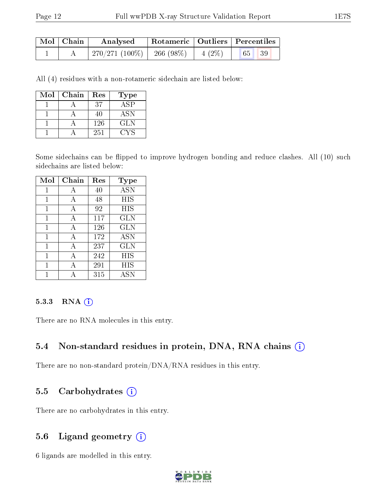| Mol   Chain | Analysed                   |          | Rotameric   Outliers   Percentiles |  |
|-------------|----------------------------|----------|------------------------------------|--|
|             | 270/271 (100%)   266 (98%) | $4(2\%)$ | 65 <sup>°</sup><br> 39             |  |

All (4) residues with a non-rotameric sidechain are listed below:

| Mol | Chain | Res | Type        |
|-----|-------|-----|-------------|
|     |       | 37  | $AS\bar{P}$ |
|     |       | 40  | <b>ASN</b>  |
|     |       | 126 | <b>GLN</b>  |
|     |       | 251 | CVS         |

Some sidechains can be flipped to improve hydrogen bonding and reduce clashes. All (10) such sidechains are listed below:

| Mol | ${\bf Chain}$ | Res | Type       |
|-----|---------------|-----|------------|
|     | А             | 40  | ASN        |
| 1   | А             | 48  | HIS        |
| 1   | А             | 92  | HIS        |
| 1   | А             | 117 | <b>GLN</b> |
| 1   | A             | 126 | <b>GLN</b> |
| 1   | А             | 172 | ASN        |
| 1   | A             | 237 | <b>GLN</b> |
| 1   | А             | 242 | HIS        |
| 1   | А             | 291 | HIS        |
|     |               | 315 | ASN        |

#### 5.3.3 RNA (i)

There are no RNA molecules in this entry.

#### 5.4 Non-standard residues in protein, DNA, RNA chains (i)

There are no non-standard protein/DNA/RNA residues in this entry.

#### 5.5 Carbohydrates  $(i)$

There are no carbohydrates in this entry.

### 5.6 Ligand geometry  $(i)$

6 ligands are modelled in this entry.

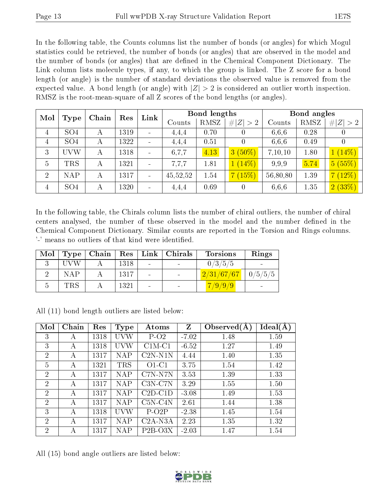In the following table, the Counts columns list the number of bonds (or angles) for which Mogul statistics could be retrieved, the number of bonds (or angles) that are observed in the model and the number of bonds (or angles) that are dened in the Chemical Component Dictionary. The Link column lists molecule types, if any, to which the group is linked. The Z score for a bond length (or angle) is the number of standard deviations the observed value is removed from the expected value. A bond length (or angle) with  $|Z| > 2$  is considered an outlier worth inspection. RMSZ is the root-mean-square of all Z scores of the bond lengths (or angles).

| Mol            |                 | Chain | Res  | Link |          | <b>Bond lengths</b> |                            |          | Bond angles |                  |
|----------------|-----------------|-------|------|------|----------|---------------------|----------------------------|----------|-------------|------------------|
|                | <b>Type</b>     |       |      |      | Counts   | RMSZ                | # $ Z  > 2$                | Counts   | <b>RMSZ</b> | # $ Z  > 2$      |
| $\overline{4}$ | SO <sub>4</sub> | А     | 1319 |      | 4.4.4    | 0.70                |                            | 6,6,6    | 0.28        | $\boldsymbol{0}$ |
| $\overline{4}$ | SO <sub>4</sub> | А     | 1322 |      | 4.4.4    | 0.51                |                            | 6,6,6    | 0.49        | U                |
| 3              | UVW             | А     | 1318 |      | 6,7,7    | 4.13                | $(50\%)$<br>3 <sup>°</sup> | 7,10,10  | 1.80        | $1(14\%)$        |
| 5              | <b>TRS</b>      | А     | 1321 |      | 7.7.7    | 1.81                | $(14\%)$                   | 9.9.9    | 5.74        | 5(55%)           |
| $\overline{2}$ | <b>NAP</b>      | А     | 1317 |      | 45,52,52 | 1.54                | $15\%)$                    | 56,80,80 | 1.39        | 7(12%)           |
| $\overline{4}$ | SO <sub>4</sub> | А     | 1320 |      | 4,4,4    | 0.69                | 0                          | 6,6,6    | 1.35        | 2(33%)           |

In the following table, the Chirals column lists the number of chiral outliers, the number of chiral centers analysed, the number of these observed in the model and the number defined in the Chemical Component Dictionary. Similar counts are reported in the Torsion and Rings columns. '-' means no outliers of that kind were identified.

| Mol |            | Type   Chain | $\parallel$ Res $\parallel$ | Link   Chirals | <b>Torsions</b>        | Rings |
|-----|------------|--------------|-----------------------------|----------------|------------------------|-------|
|     | LI V W     |              | 1318                        |                | 0/3/5/5                |       |
|     | <b>NAP</b> |              | 1317                        |                | $2/31/67/67$   0/5/5/5 |       |
| Ð   | <b>TRS</b> |              | 1321                        |                | 7/9/9/9                |       |

| Mol            | Chain | Res  | <b>Type</b> | Atoms     | $\mathbf{Z}$ | Observed $(A)$ | Ideal(A) |
|----------------|-------|------|-------------|-----------|--------------|----------------|----------|
| 3              | Α     | 1318 | UVW         | $P-O2$    | $-7.02$      | 1.48           | 1.59     |
| 3              | А     | 1318 | UVW         | $C1M-C1$  | $-6.52$      | 1.27           | 1.49     |
| $\overline{2}$ | А     | 1317 | <b>NAP</b>  | $C2N-N1N$ | 4.44         | 1.40           | 1.35     |
| $\overline{5}$ | А     | 1321 | <b>TRS</b>  | $O1-C1$   | 3.75         | 1.54           | 1.42     |
| $\overline{2}$ | А     | 1317 | <b>NAP</b>  | C7N-N7N   | 3.53         | 1.39           | 1.33     |
| 2              | А     | 1317 | <b>NAP</b>  | $C3N-C7N$ | 3.29         | 1.55           | 1.50     |
| $\overline{2}$ | А     | 1317 | <b>NAP</b>  | $C2D-C1D$ | $-3.08$      | 1.49           | 1.53     |
| 2              | А     | 1317 | <b>NAP</b>  | $C5N-C4N$ | 2.61         | 1.44           | 1.38     |
| 3              | А     | 1318 | UVW         | $P-O2P$   | $-2.38$      | 1.45           | 1.54     |
| $\overline{2}$ | А     | 1317 | <b>NAP</b>  | $C2A-NSA$ | 2.23         | 1.35           | 1.32     |
| $\overline{2}$ | А     | 1317 | <b>NAP</b>  | $P2B-O3X$ | $-2.03$      | 1.47           | 1.54     |

All (11) bond length outliers are listed below:

All (15) bond angle outliers are listed below:

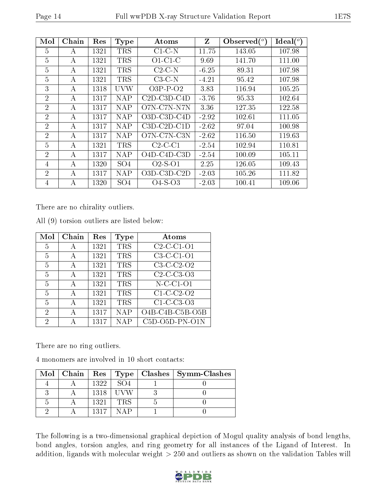| Mol            | Chain | Res  | <b>Type</b>     | Atoms                 | Z       | Observed $(°)$ | Ideal $(^\circ)$ |
|----------------|-------|------|-----------------|-----------------------|---------|----------------|------------------|
| 5              | А     | 1321 | <b>TRS</b>      | $C1-C-N$              | 11.75   | 143.05         | 107.98           |
| 5              | А     | 1321 | <b>TRS</b>      | $O1-C1-C$             | 9.69    | 141.70         | 111.00           |
| 5              | A     | 1321 | <b>TRS</b>      | $C2-C-N$              | $-6.25$ | 89.31          | 107.98           |
| 5              | А     | 1321 | <b>TRS</b>      | $C3-C-N$              | $-4.21$ | 95.42          | 107.98           |
| 3              | А     | 1318 | <b>UVW</b>      | $O3P-P-O2$            | 3.83    | 116.94         | 105.25           |
| $\overline{2}$ | А     | 1317 | NAP             | $C2D$ - $C3D$ - $C4D$ | $-3.76$ | 95.33          | 102.64           |
| $\overline{2}$ | А     | 1317 | <b>NAP</b>      | O7N-C7N-N7N           | 3.36    | 127.35         | 122.58           |
| $\overline{2}$ | А     | 1317 | <b>NAP</b>      | $O3D$ -C3D-C4D        | $-2.92$ | 102.61         | 111.05           |
| $\overline{2}$ | А     | 1317 | <b>NAP</b>      | $C3D-C2D-C1D$         | $-2.62$ | 97.04          | 100.98           |
| $\overline{2}$ | А     | 1317 | <b>NAP</b>      | O7N-C7N-C3N           | $-2.62$ | 116.50         | 119.63           |
| $\overline{5}$ | А     | 1321 | <b>TRS</b>      | $C2-C-C1$             | $-2.54$ | 102.94         | 110.81           |
| $\overline{2}$ | А     | 1317 | <b>NAP</b>      | $O4D-C4D-C3D$         | $-2.54$ | 100.09         | 105.11           |
| 4              | А     | 1320 | SO <sub>4</sub> | $O2-S-O1$             | 2.25    | 126.05         | 109.43           |
| $\overline{2}$ | А     | 1317 | <b>NAP</b>      | O3D-C3D-C2D           | $-2.03$ | 105.26         | 111.82           |
| $\overline{4}$ | A     | 1320 | SO <sub>4</sub> | $O4-S-O3$             | $-2.03$ | 100.41         | 109.06           |

There are no chirality outliers.

|  |  | All (9) torsion outliers are listed below: |  |  |  |  |
|--|--|--------------------------------------------|--|--|--|--|
|--|--|--------------------------------------------|--|--|--|--|

| Mol | Chain | $\operatorname{Res}% \left( \mathcal{N}\right) \equiv\operatorname{Res}(\mathcal{N}_{0})\cap\mathcal{N}_{1}$ | Type       | Atoms            |
|-----|-------|--------------------------------------------------------------------------------------------------------------|------------|------------------|
| 5   | А     | 1321                                                                                                         | <b>TRS</b> | $C2-C1-O1$       |
| 5   | А     | 1321                                                                                                         | <b>TRS</b> | $C3-C1-01$       |
| 5   | А     | 1321                                                                                                         | <b>TRS</b> | $C3-C2-O2$       |
| 5   | А     | 1321                                                                                                         | <b>TRS</b> | $C2-C-C3-O3$     |
| 5   | А     | 1321                                                                                                         | <b>TRS</b> | $N$ -C-C1-O1     |
| 5   | А     | 1321                                                                                                         | <b>TRS</b> | $C1-C- C2-O2$    |
| 5   | A     | 1321                                                                                                         | <b>TRS</b> | $C1-C-C3-O3$     |
| 2   | А     | 1317                                                                                                         | <b>NAP</b> | O4B-C4B-C5B-O5B  |
| 2   | А     | 1317                                                                                                         | <b>NAP</b> | $C5D-O5D-PN-O1N$ |

There are no ring outliers.

4 monomers are involved in 10 short contacts:

|  |      |                 | Mol   Chain   Res   Type   Clashes   Symm-Clashes |
|--|------|-----------------|---------------------------------------------------|
|  | 1322 | SO <sub>4</sub> |                                                   |
|  | 1318 |                 |                                                   |
|  | 1321 | <b>TRS</b>      |                                                   |
|  | 1317 | ΝAΡ             |                                                   |

The following is a two-dimensional graphical depiction of Mogul quality analysis of bond lengths, bond angles, torsion angles, and ring geometry for all instances of the Ligand of Interest. In addition, ligands with molecular weight > 250 and outliers as shown on the validation Tables will

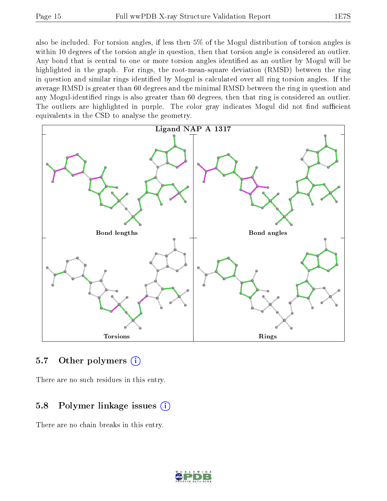also be included. For torsion angles, if less then 5% of the Mogul distribution of torsion angles is within 10 degrees of the torsion angle in question, then that torsion angle is considered an outlier. Any bond that is central to one or more torsion angles identified as an outlier by Mogul will be highlighted in the graph. For rings, the root-mean-square deviation (RMSD) between the ring in question and similar rings identified by Mogul is calculated over all ring torsion angles. If the average RMSD is greater than 60 degrees and the minimal RMSD between the ring in question and any Mogul-identified rings is also greater than 60 degrees, then that ring is considered an outlier. The outliers are highlighted in purple. The color gray indicates Mogul did not find sufficient equivalents in the CSD to analyse the geometry.



#### 5.7 [O](https://www.wwpdb.org/validation/2017/XrayValidationReportHelp#nonstandard_residues_and_ligands)ther polymers  $(i)$

There are no such residues in this entry.

### 5.8 Polymer linkage issues  $(i)$

There are no chain breaks in this entry.